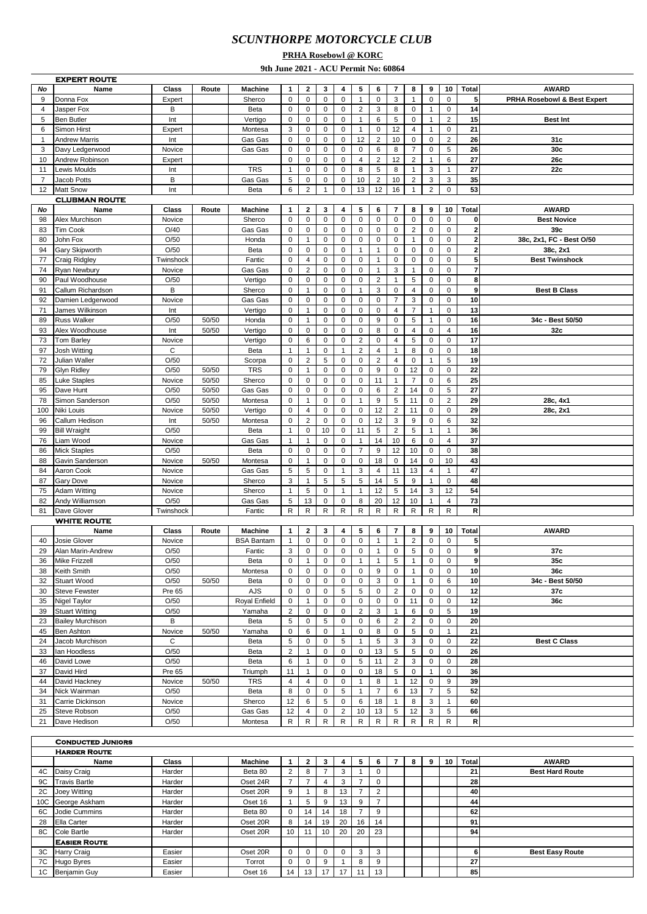## *SCUNTHORPE MOTORCYCLE CLUB*

## **PRHA Rosebowl @ KORC**

**9th June 2021 - ACU Permit No: 60864**

|                 | <b>EXPERT ROUTE</b>      |           |       |                   |                           |                         |                |                |                |                         |                         |                |                |                |                         |                             |
|-----------------|--------------------------|-----------|-------|-------------------|---------------------------|-------------------------|----------------|----------------|----------------|-------------------------|-------------------------|----------------|----------------|----------------|-------------------------|-----------------------------|
| No              | Name                     | Class     | Route | <b>Machine</b>    | 1                         | $\mathbf{2}$            | 3              | 4              | 5              | 6                       | 7                       | 8              | 9              | 10             | <b>Total</b>            | <b>AWARD</b>                |
| 9               | Donna Fox                | Expert    |       | Sherco            | $\pmb{0}$                 | $\mathbf 0$             | 0              | 0              | $\mathbf{1}$   | $\pmb{0}$               | 3                       | $\mathbf{1}$   | $\mathbf 0$    | 0              | 5                       | PRHA Rosebowl & Best Expert |
| $\overline{4}$  | Jasper Fox               | B         |       | Beta              | $\pmb{0}$                 | $\mathbf 0$             | 0              | $\mathbf 0$    | $\mathbf 2$    | 3                       | 8                       | $\mathbf 0$    | $\mathbf{1}$   | 0              | 14                      |                             |
| 5               | <b>Ben Butler</b>        | Int       |       | Vertigo           | $\mathbf 0$               | $\mathbf 0$             | $\mathbf 0$    | $\mathbf 0$    | $\mathbf{1}$   | 6                       | 5                       | $\mathsf 0$    | $\mathbf{1}$   | $\overline{2}$ | 15                      | <b>Best Int</b>             |
| 6               | Simon Hirst              | Expert    |       | Montesa           | 3                         | $\mathbf 0$             | $\mathsf 0$    | $\mathbf 0$    | $\mathbf{1}$   | $\pmb{0}$               | 12                      | 4              | $\mathbf{1}$   | 0              | 21                      |                             |
|                 |                          |           |       |                   |                           |                         |                |                |                |                         |                         |                |                |                |                         |                             |
| $\mathbf{1}$    | <b>Andrew Marris</b>     | Int       |       | Gas Gas           | $\mathsf 0$               | $\mathbf 0$             | 0              | 0              | 12             | $\boldsymbol{2}$        | 10                      | $\mathbf 0$    | $\mathbf 0$    | $\overline{2}$ | 26                      | 31c                         |
| 3               | Davy Ledgerwood          | Novice    |       | Gas Gas           | $\mathbf 0$               | 0                       | 0              | 0              | 0              | 6                       | 8                       | $\overline{7}$ | $\mathbf 0$    | 5              | 26                      | 30c                         |
| 10              | Andrew Robinson          | Expert    |       |                   | $\pmb{0}$                 | $\mathbf 0$             | 0              | 0              | $\overline{4}$ | $\overline{2}$          | 12                      | $\overline{c}$ | 1              | 6              | 27                      | 26с                         |
| 11              | Lewis Moulds             | Int       |       | <b>TRS</b>        | $\mathbf{1}$              | $\mathbf 0$             | 0              | $\mathbf 0$    | 8              | $\sqrt{5}$              | 8                       | $\mathbf{1}$   | 3              | $\mathbf{1}$   | 27                      | 22c                         |
| 7               | Jacob Potts              | B         |       | Gas Gas           | 5                         | $\mathbf 0$             | $\mathsf 0$    | $\mathbf 0$    | 10             | $\overline{2}$          | 10                      | $\overline{2}$ | 3              | 3              | 35                      |                             |
| 12              | <b>Matt Snow</b>         | Int       |       | Beta              | 6                         | 2                       | $\mathbf{1}$   | $\mathsf 0$    | 13             | 12                      | 16                      | $\mathbf{1}$   | $\overline{2}$ | 0              | 53                      |                             |
|                 | <b>CLUBMAN ROUTE</b>     |           |       |                   |                           |                         |                |                |                |                         |                         |                |                |                |                         |                             |
| No              | Name                     | Class     | Route | <b>Machine</b>    | 1                         | 2                       | 3              | 4              | 5              | 6                       | 7                       | 8              | 9              | 10             | Total                   | <b>AWARD</b>                |
| 98              | Alex Murchison           |           |       | Sherco            | $\pmb{0}$                 | $\mathbf 0$             | 0              | $\mathbf 0$    | $\pmb{0}$      | $\mathbf 0$             | $\mathbf 0$             | 0              | 0              | 0              | $\bf{0}$                | <b>Best Novice</b>          |
|                 |                          | Novice    |       |                   |                           |                         |                |                |                |                         |                         |                |                |                |                         |                             |
| 83              | Tim Cook                 | O/40      |       | Gas Gas           | $\pmb{0}$                 | $\mathbf 0$             | $\mathsf 0$    | $\mathbf 0$    | $\mathsf 0$    | $\pmb{0}$               | $\mathbf 0$             | $\overline{2}$ | $\mathbf 0$    | $\mathbf 0$    | $\overline{\mathbf{2}}$ | 39c                         |
| 80              | John Fox                 | O/50      |       | Honda             | $\mathbf 0$               | $\mathbf{1}$            | $\mathsf 0$    | $\mathbf 0$    | $\pmb{0}$      | $\pmb{0}$               | $\mathbf 0$             | $\mathbf{1}$   | 0              | 0              | $\bf{2}$                | 38c, 2x1, FC - Best O/50    |
| 94              | Gary Skipworth           | O/50      |       | Beta              | $\mathbf 0$               | $\mathbf 0$             | $\mathbf 0$    | $\mathbf 0$    | $\mathbf{1}$   | $\mathbf{1}$            | 0                       | $\mathsf 0$    | $\mathbf 0$    | 0              | $\mathbf 2$             | 38c, 2x1                    |
| 77              | Craig Ridgley            | Twinshock |       | Fantic            | $\mathbf 0$               | $\overline{4}$          | 0              | $\mathbf 0$    | 0              | $\mathbf{1}$            | 0                       | $\pmb{0}$      | $\mathbf 0$    | $\mathbf 0$    | $\overline{\mathbf{5}}$ | <b>Best Twinshock</b>       |
| 74              | Ryan Newbury             | Novice    |       | Gas Gas           | $\mathbf 0$               | $\overline{\mathbf{c}}$ | 0              | 0              | 0              | $\mathbf{1}$            | 3                       | $\mathbf{1}$   | $\mathbf 0$    | $\mathbf 0$    | $\overline{7}$          |                             |
| 90              | Paul Woodhouse           | O/50      |       | Vertigo           | $\pmb{0}$                 | $\mathbf 0$             | 0              | 0              | 0              | $\overline{2}$          | $\mathbf{1}$            | 5              | $\mathbf 0$    | 0              | 8                       |                             |
| 91              | Callum Richardson        | B         |       | Sherco            | $\pmb{0}$                 | $\mathbf{1}$            | 0              | $\mathbf 0$    | $\mathbf{1}$   | 3                       | 0                       | $\overline{4}$ | $\mathbf 0$    | 0              | 9                       | <b>Best B Class</b>         |
|                 | Damien Ledgerwood        |           |       |                   | $\mathbf 0$               | $\mathbf 0$             | $\mathsf 0$    | $\mathbf 0$    |                | $\mathbf 0$             | $\overline{7}$          | 3              | $\mathbf 0$    | 0              | 10                      |                             |
| 92              |                          | Novice    |       | Gas Gas           |                           |                         |                |                | 0              |                         |                         |                |                |                |                         |                             |
| 71              | James Wilkinson          | Int       |       | Vertigo           | $\mathbf 0$               | $\mathbf{1}$            | $\mathbf 0$    | $\mathbf 0$    | 0              | $\mathbf 0$             | 4                       | $\overline{7}$ | $\mathbf{1}$   | $\mathbf 0$    | 13                      |                             |
| 89              | <b>Russ Walker</b>       | O/50      | 50/50 | Honda             | $\mathbf 0$               | $\mathbf{1}$            | 0              | $\mathbf 0$    | $\mathbf 0$    | 9                       | $\mathbf 0$             | 5              | $\mathbf{1}$   | 0              | 16                      | 34c - Best 50/50            |
| 93              | Alex Woodhouse           | Int       | 50/50 | Vertigo           | $\mathsf 0$               | $\mathbf 0$             | $\pmb{0}$      | $\mathbf 0$    | $\mathsf 0$    | 8                       | $\mathbf 0$             | $\overline{4}$ | $\mathbf 0$    | $\overline{4}$ | 16                      | 32c                         |
| 73              | <b>Tom Barley</b>        | Novice    |       | Vertigo           | $\pmb{0}$                 | 6                       | 0              | $\mathbf 0$    | $\overline{2}$ | $\pmb{0}$               | 4                       | $\,$ 5 $\,$    | $\mathbf 0$    | 0              | 17                      |                             |
| 97              | <b>Josh Witting</b>      | C         |       | Beta              | $\mathbf{1}$              | $\mathbf{1}$            | $\pmb{0}$      | $\mathbf{1}$   | $\overline{c}$ | $\overline{4}$          | $\mathbf{1}$            | 8              | $\mathbf 0$    | 0              | 18                      |                             |
| 72              | Julian Waller            | O/50      |       | Scorpa            | $\mathbf 0$               | $\overline{2}$          | 5              | $\mathbf 0$    | $\mathsf 0$    | $\boldsymbol{2}$        | 4                       | $\mathbf 0$    | $\mathbf{1}$   | 5              | 19                      |                             |
| 79              | <b>Glyn Ridley</b>       | O/50      | 50/50 | <b>TRS</b>        | $\mathbf 0$               | $\mathbf{1}$            | $\pmb{0}$      | $\mathbf 0$    | 0              | 9                       | $\mathbf 0$             | 12             | $\mathbf 0$    | 0              | 22                      |                             |
|                 |                          |           |       |                   |                           |                         |                |                |                |                         |                         |                |                |                |                         |                             |
| 85              | Luke Staples             | Novice    | 50/50 | Sherco            | $\mathsf 0$               | $\mathbf 0$             | $\mathbf 0$    | $\mathbf 0$    | 0              | 11                      | $\mathbf{1}$            | $\overline{7}$ | $\mathbf 0$    | 6              | 25                      |                             |
| 95              | Dave Hunt                | O/50      | 50/50 | Gas Gas           | $\mathbf 0$               | $\mathbf 0$             | 0              | 0              | 0              | 6                       | $\mathbf 2$             | 14             | $\mathbf 0$    | 5              | 27                      |                             |
| 78              | Simon Sanderson          | O/50      | 50/50 | Montesa           | $\pmb{0}$                 | $\mathbf{1}$            | 0              | $\mathbf 0$    | $\mathbf{1}$   | $\boldsymbol{9}$        | 5                       | 11             | $\mathbf 0$    | $\overline{2}$ | 29                      | 28c, 4x1                    |
| 100             | Niki Louis               | Novice    | 50/50 | Vertigo           | $\pmb{0}$                 | $\overline{4}$          | 0              | 0              | $\mathbf 0$    | 12                      | $\overline{2}$          | 11             | $\mathbf 0$    | $\mathsf 0$    | 29                      | 28c, 2x1                    |
| 96              | Callum Hedison           | Int       | 50/50 | Montesa           | $\pmb{0}$                 | $\overline{2}$          | 0              | $\mathbf 0$    | $\mathsf 0$    | 12                      | 3                       | 9              | $\mathbf 0$    | 6              | 32                      |                             |
| 99              | <b>Bill Wraight</b>      | O/50      |       | Beta              | $\mathbf{1}$              | $\mathbf 0$             | 10             | $\mathbf 0$    | 11             | 5                       | 2                       | 5              | $\mathbf{1}$   | $\mathbf{1}$   | 36                      |                             |
| 76              | Liam Wood                | Novice    |       | Gas Gas           | $\mathbf{1}$              | $\mathbf{1}$            | $\mathsf 0$    | $\mathbf 0$    | $\mathbf{1}$   | 14                      | 10                      | 6              | $\mathbf 0$    | $\overline{4}$ | 37                      |                             |
| 86              | <b>Mick Staples</b>      | O/50      |       | Beta              | $\mathsf 0$               | $\mathbf 0$             | 0              | $\mathbf 0$    | $\overline{7}$ | 9                       | 12                      | 10             | $\mathbf 0$    | $\mathsf 0$    | 38                      |                             |
|                 |                          |           |       |                   |                           |                         |                |                |                |                         |                         |                |                |                |                         |                             |
| 88              | Gavin Sanderson          | Novice    | 50/50 | Montesa           | $\mathbf 0$               | $\mathbf{1}$            | 0              | $\mathbf 0$    | $\pmb{0}$      | 18                      | 0                       | 14             | $\mathbf 0$    | 10             | 43                      |                             |
| 84              | Aaron Cook               | Novice    |       | Gas Gas           | $\sqrt{5}$                | 5                       | 0              | $\mathbf{1}$   | 3              | $\overline{\mathbf{4}}$ | 11                      | 13             | 4              | $\mathbf{1}$   | 47                      |                             |
| 87              | Gary Dove                | Novice    |       | Sherco            | $\ensuremath{\mathsf{3}}$ | $\mathbf{1}$            | 5              | 5              | $\,$ 5 $\,$    | 14                      | 5                       | 9              | $\mathbf{1}$   | 0              | 48                      |                             |
| 75              | <b>Adam Witting</b>      | Novice    |       | Sherco            | $\mathbf{1}$              | 5                       | $\mathbf 0$    | $\mathbf{1}$   | $\mathbf{1}$   | 12                      | 5                       | 14             | 3              | 12             | 54                      |                             |
| 82              | Andy Williamson          | O/50      |       | Gas Gas           | 5                         | 13                      | $\mathsf 0$    | 0              | 8              | 20                      | 12                      | 10             | $\mathbf{1}$   | 4              | 73                      |                             |
| 81              | Dave Glover              | Twinshock |       | Fantic            | ${\sf R}$                 | $\mathsf{R}$            | $\mathsf{R}$   | ${\sf R}$      | $\mathsf{R}$   | ${\sf R}$               | $\mathsf R$             | $\mathsf{R}$   | $\mathsf{R}$   | $\mathsf{R}$   | R                       |                             |
|                 | <b>WHITE ROUTE</b>       |           |       |                   |                           |                         |                |                |                |                         |                         |                |                |                |                         |                             |
|                 | Name                     | Class     | Route | <b>Machine</b>    | 1                         | $\mathbf{2}$            | 3              | 4              | 5              | 6                       | 7                       | 8              | 9              | 10             | <b>Total</b>            | <b>AWARD</b>                |
|                 |                          |           |       | <b>BSA Bantam</b> | $\mathbf{1}$              | $\mathbf 0$             | $\pmb{0}$      | $\mathbf 0$    | $\mathbf 0$    |                         |                         | $\overline{2}$ | $\mathbf 0$    | $\mathbf 0$    |                         |                             |
| 40              | <b>Josie Glover</b>      | Novice    |       |                   |                           |                         |                |                |                | $\mathbf{1}$            | 1                       |                |                |                | 5                       |                             |
| 29              | Alan Marin-Andrew        | O/50      |       | Fantic            | 3                         | $\mathbf 0$             | $\pmb{0}$      | 0              | $\mathsf 0$    | $\mathbf{1}$            | $\mathbf 0$             | 5              | 0              | $\mathbf 0$    | 9                       | 37c                         |
| 36              | <b>Mike Frizzell</b>     | O/50      |       | Beta              | $\mathbf 0$               | $\mathbf{1}$            | $\mathbf 0$    | $\mathbf 0$    | $\mathbf{1}$   | $\mathbf{1}$            | 5                       | $\mathbf{1}$   | $\mathbf 0$    | $\mathbf 0$    | $\mathbf{g}$            | 35c                         |
| 38              | Keith Smith              | O/50      |       | Montesa           | $\mathbf 0$               | 0                       | 0              | $\mathbf 0$    | 0              | 9                       | 0                       | $\mathbf{1}$   | $\mathbf 0$    | $\mathbf 0$    | 10                      | 36c                         |
| 32              | Stuart Wood              | O/50      | 50/50 | Beta              | $\mathbf 0$               | 0                       | 0              | 0              | 0              | 3                       | 0                       | $\mathbf{1}$   | 0              | 6              | 10                      | 34c - Best 50/50            |
| 30              | <b>Steve Fewster</b>     | Pre 65    |       | AJS               | $\mathbf 0$               | 0                       | 0              | 5              | 5              | 0                       | 2                       | 0              | 0              | 0              | 12                      | 37c                         |
| 35              | Nigel Taylor             | O/50      |       | Royal Enfield     | $\pmb{0}$                 | $\mathbf{1}$            | 0              | $\pmb{0}$      | $\mathsf 0$    | $\pmb{0}$               | 0                       | 11             | 0              | 0              | 12                      | 36c                         |
| 39              | <b>Stuart Witting</b>    | O/50      |       | Yamaha            | $\mathbf 2$               | 0                       | 0              | 0              | 2              | 3                       | 1                       | 6              | 0              | 5              | 19                      |                             |
| 23              | <b>Bailey Murchison</b>  | B         |       | Beta              | 5                         | 0                       | 5              | 0              | 0              | 6                       | $\overline{\mathbf{c}}$ | $\overline{2}$ | 0              | 0              | 20                      |                             |
|                 |                          |           |       |                   |                           |                         |                |                |                |                         |                         |                |                |                |                         |                             |
| 45              | <b>Ben Ashton</b>        | Novice    | 50/50 | Yamaha            | $\pmb{0}$                 | 6                       | 0              | 1              | 0              | 8                       | 0                       | 5              | 0              | $\mathbf{1}$   | 21                      |                             |
| 24              | Jacob Murchison          | C         |       | Beta              | $\,$ 5 $\,$               | 0                       | 0              | 5              | $\mathbf{1}$   | 5                       | 3                       | 3              | 0              | 0              | 22                      | <b>Best C Class</b>         |
| 33              | lan Hoodless             | O/50      |       | Beta              | $\sqrt{2}$                | $\mathbf{1}$            | 0              | 0              | 0              | 13                      | 5                       | 5              | 0              | 0              | 26                      |                             |
| 46              | David Lowe               | O/50      |       | Beta              | 6                         | $\mathbf{1}$            | 0              | 0              | 5              | 11                      | $\overline{\mathbf{c}}$ | 3              | 0              | 0              | 28                      |                             |
| 37              | David Hird               | Pre 65    |       | Triumph           | 11                        | $\mathbf{1}$            | 0              | 0              | 0              | 18                      | 5                       | 0              | 1              | 0              | 36                      |                             |
| 44              | David Hackney            | Novice    | 50/50 | TRS               | 4                         | 4                       | 0              | 0              | $\mathbf{1}$   | 8                       | $\mathbf{1}$            | 12             | 0              | 9              | 39                      |                             |
| 34              | Nick Wainman             | O/50      |       | Beta              | 8                         | $\mathbf 0$             | 0              | 5              | $\mathbf{1}$   | $\overline{7}$          | 6                       | 13             | $\overline{7}$ | 5              | 52                      |                             |
| 31              |                          |           |       |                   |                           |                         |                |                |                | 18                      | $\mathbf{1}$            | 8              | 3              | $\mathbf{1}$   | 60                      |                             |
|                 |                          |           |       |                   |                           |                         |                |                |                |                         |                         |                |                |                |                         |                             |
|                 | Carrie Dickinson         | Novice    |       | Sherco            | 12                        | 6                       | 5              | $\pmb{0}$      | 6              |                         |                         |                |                |                |                         |                             |
| 25              | Steve Robson             | O/50      |       | Gas Gas           | 12                        | 4                       | 0              | $\overline{2}$ | 10             | 13                      | 5                       | 12             | 3              | 5              | 66                      |                             |
| 21              | Dave Hedison             | O/50      |       | Montesa           | R                         | R                       | $\mathsf{R}$   | R              | ${\sf R}$      | R                       | ${\sf R}$               | ${\sf R}$      | R              | R              | R                       |                             |
|                 |                          |           |       |                   |                           |                         |                |                |                |                         |                         |                |                |                |                         |                             |
|                 | <b>CONDUCTED JUNIORS</b> |           |       |                   |                           |                         |                |                |                |                         |                         |                |                |                |                         |                             |
|                 | <b>HARDER ROUTE</b>      |           |       |                   |                           |                         |                |                |                |                         |                         |                |                |                |                         |                             |
|                 | Name                     | Class     |       | Machine           | 1                         | 2                       | 3              | 4              | 5              | 6                       | $\overline{7}$          | 8              | 9              | 10             | <b>Total</b>            | <b>AWARD</b>                |
| 4C              |                          | Harder    |       | Beta 80           | $\sqrt{2}$                | 8                       | $\overline{7}$ | 3              | $\mathbf{1}$   | $\pmb{0}$               |                         |                |                |                | 21                      | <b>Best Hard Route</b>      |
|                 | Daisy Craig              |           |       |                   |                           |                         |                |                |                |                         |                         |                |                |                |                         |                             |
| 9C              | <b>Travis Bartle</b>     | Harder    |       | Oset 24R          | $\overline{7}$            | $\overline{7}$          | 4              | 3              | $\overline{7}$ | 0                       |                         |                |                |                | 28                      |                             |
| 2C              | Joey Witting             | Harder    |       | Oset 20R          | 9                         | $\mathbf{1}$            | 8              | 13             | $\overline{7}$ | $\overline{2}$          |                         |                |                |                | 40                      |                             |
| 10 <sub>C</sub> | George Askham            | Harder    |       | Oset 16           | $\mathbf{1}$              | 5                       | 9              | 13             | 9              | $\overline{7}$          |                         |                |                |                | 44                      |                             |
| 6C              | Jodie Cummins            | Harder    |       | Beta 80           | $\pmb{0}$                 | 14                      | 14             | 18             | $\overline{7}$ | 9                       |                         |                |                |                | 62                      |                             |
| 28              | Ella Carter              | Harder    |       | Oset 20R          | 8                         | 14                      | 19             | 20             | 16             | 14                      |                         |                |                |                | 91                      |                             |
| 8C              | Cole Bartle              | Harder    |       | Oset 20R          | 10                        | 11                      | 10             | 20             | 20             | 23                      |                         |                |                |                | 94                      |                             |
|                 | <b>EASIER ROUTE</b>      |           |       |                   |                           |                         |                |                |                |                         |                         |                |                |                |                         |                             |
| ЗC              | <b>Harry Craig</b>       | Easier    |       | Oset 20R          | 0                         | 0                       | 0              | 0              | 3              | 3                       |                         |                |                |                | 6                       | <b>Best Easy Route</b>      |

1C Benjamin Guy Easier Oset 16 14 13 17 17 11 13 **85**